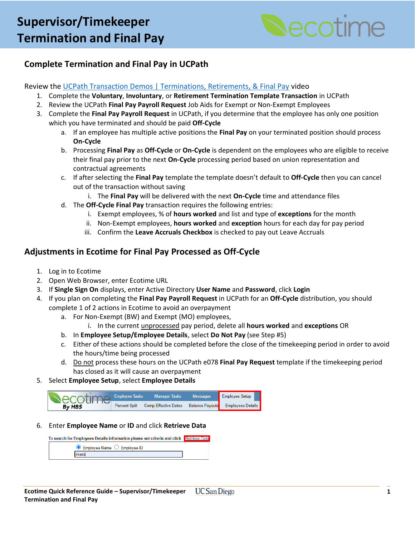

## **Complete Termination and Final Pay in UCPath**

#### Review the [UCPath Transaction Demos | Terminations, Retirements, & Final Pay](https://ucpath.ucsd.edu/training/td-terminations.html) video

- 1. Complete the **Voluntary**, **Involuntary**, or **Retirement Termination Template Transaction** in UCPath
- 2. Review the UCPath **Final Pay Payroll Request** Job Aids for Exempt or Non-Exempt Employees
- 3. Complete the **Final Pay Payroll Request** in UCPath, if you determine that the employee has only one position which you have terminated and should be paid **Off-Cycle**
	- a. If an employee has multiple active positions the **Final Pay** on your terminated position should process **On-Cycle**
	- b. Processing **Final Pay** as **Off-Cycle** or **On-Cycle** is dependent on the employees who are eligible to receive their final pay prior to the next **On-Cycle** processing period based on union representation and contractual agreements
	- c. If after selecting the **Final Pay** template the template doesn't default to **Off-Cycle** then you can cancel out of the transaction without saving
		- i. The **Final Pay** will be delivered with the next **On-Cycle** time and attendance files
	- d. The **Off-Cycle Final Pay** transaction requires the following entries:
		- i. Exempt employees, % of **hours worked** and list and type of **exceptions** for the month
		- ii. Non-Exempt employees, **hours worked** and **exception** hours for each day for pay period
		- iii. Confirm the **Leave Accruals Checkbox** is checked to pay out Leave Accruals

### **Adjustments in Ecotime for Final Pay Processed as Off-Cycle**

- 1. Log in to Ecotime
- 2. Open Web Browser, enter Ecotime URL
- 3. If **Single Sign On** displays, enter Active Directory **User Name** and **Password**, click **Login**
- 4. If you plan on completing the **Final Pay Payroll Request** in UCPath for an **Off-Cycle** distribution, you should complete 1 of 2 actions in Ecotime to avoid an overpayment
	- a. For Non-Exempt (BW) and Exempt (MO) employees,
		- i. In the current unprocessed pay period, delete all **hours worked** and **exceptions** OR
	- b. In **Employee Setup/Employee Details**, select **Do Not Pay** (see Step #5)
	- c. Either of these actions should be completed before the close of the timekeeping period in order to avoid the hours/time being processed
	- d. Do not process these hours on the UCPath e078 **Final Pay Request** template if the timekeeping period has closed as it will cause an overpayment
- 5. Select **Employee Setup**, select **Employee Details**



6. Enter **Employee Name** or **ID** and click **Retrieve Data**

| To search for Employees Details information please set criteria and click Retrieve Data |  |
|-----------------------------------------------------------------------------------------|--|
| $\bullet$ Employee Name $\circ$ Employee ID                                             |  |
| ivera                                                                                   |  |